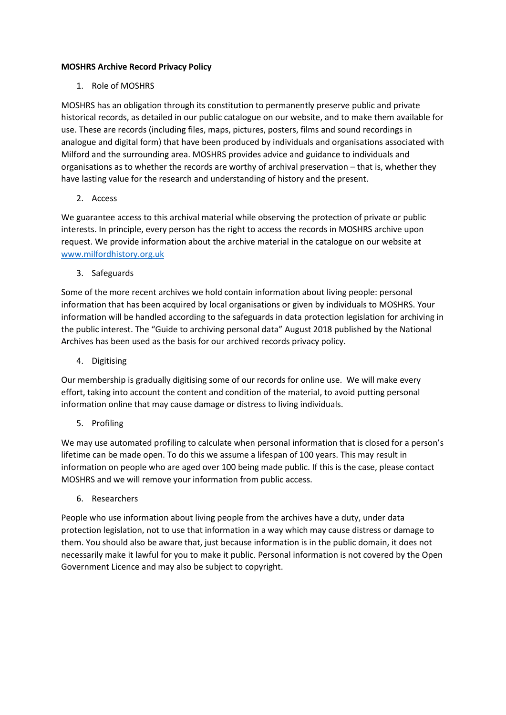## **MOSHRS Archive Record Privacy Policy**

1. Role of MOSHRS

MOSHRS has an obligation through its constitution to permanently preserve public and private historical records, as detailed in our public catalogue on our website, and to make them available for use. These are records (including files, maps, pictures, posters, films and sound recordings in analogue and digital form) that have been produced by individuals and organisations associated with Milford and the surrounding area. MOSHRS provides advice and guidance to individuals and organisations as to whether the records are worthy of archival preservation – that is, whether they have lasting value for the research and understanding of history and the present.

2. Access

We guarantee access to this archival material while observing the protection of private or public interests. In principle, every person has the right to access the records in MOSHRS archive upon request. We provide information about the archive material in the catalogue on our website at [www.milfordhistory.org.uk](http://www.milfordhistory.org.uk/)

3. Safeguards

Some of the more recent archives we hold contain information about living people: personal information that has been acquired by local organisations or given by individuals to MOSHRS. Your information will be handled according to the safeguards in data protection legislation for archiving in the public interest. The "Guide to archiving personal data" August 2018 published by the National Archives has been used as the basis for our archived records privacy policy.

4. Digitising

Our membership is gradually digitising some of our records for online use. We will make every effort, taking into account the content and condition of the material, to avoid putting personal information online that may cause damage or distress to living individuals.

5. Profiling

We may use automated profiling to calculate when personal information that is closed for a person's lifetime can be made open. To do this we assume a lifespan of 100 years. This may result in information on people who are aged over 100 being made public. If this is the case, please contact MOSHRS and we will remove your information from public access.

6. Researchers

People who use information about living people from the archives have a duty, under data protection legislation, not to use that information in a way which may cause distress or damage to them. You should also be aware that, just because information is in the public domain, it does not necessarily make it lawful for you to make it public. Personal information is not covered by the Open Government Licence and may also be subject to copyright.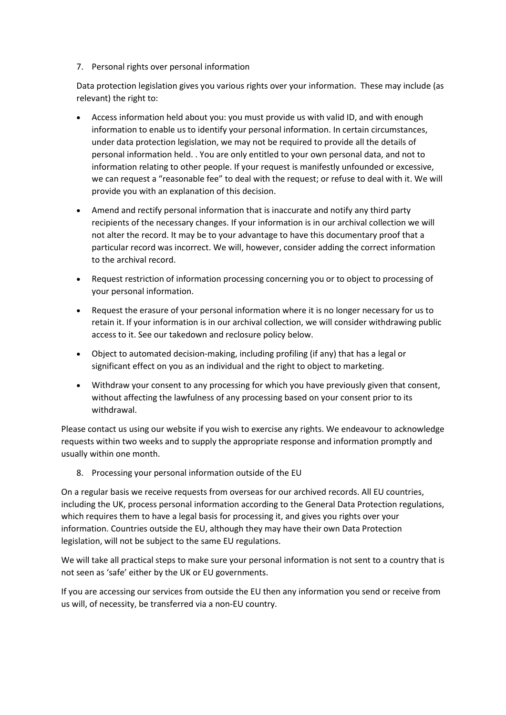7. Personal rights over personal information

Data protection legislation gives you various rights over your information. These may include (as relevant) the right to:

- Access information held about you: you must provide us with valid ID, and with enough information to enable us to identify your personal information. In certain circumstances, under data protection legislation, we may not be required to provide all the details of personal information held. . You are only entitled to your own personal data, and not to information relating to other people. If your request is manifestly unfounded or excessive, we can request a "reasonable fee" to deal with the request; or refuse to deal with it. We will provide you with an explanation of this decision.
- Amend and rectify personal information that is inaccurate and notify any third party recipients of the necessary changes. If your information is in our archival collection we will not alter the record. It may be to your advantage to have this documentary proof that a particular record was incorrect. We will, however, consider adding the correct information to the archival record.
- Request restriction of information processing concerning you or to object to processing of your personal information.
- Request the erasure of your personal information where it is no longer necessary for us to retain it. If your information is in our archival collection, we will consider withdrawing public access to it. See our takedown and reclosure policy below.
- Object to automated decision-making, including profiling (if any) that has a legal or significant effect on you as an individual and the right to object to marketing.
- Withdraw your consent to any processing for which you have previously given that consent, without affecting the lawfulness of any processing based on your consent prior to its withdrawal.

Please contact us using our website if you wish to exercise any rights. We endeavour to acknowledge requests within two weeks and to supply the appropriate response and information promptly and usually within one month.

8. Processing your personal information outside of the EU

On a regular basis we receive requests from overseas for our archived records. All EU countries, including the UK, process personal information according to the General Data Protection regulations, which requires them to have a legal basis for processing it, and gives you rights over your information. Countries outside the EU, although they may have their own Data Protection legislation, will not be subject to the same EU regulations.

We will take all practical steps to make sure your personal information is not sent to a country that is not seen as 'safe' either by the UK or EU governments.

If you are accessing our services from outside the EU then any information you send or receive from us will, of necessity, be transferred via a non-EU country.